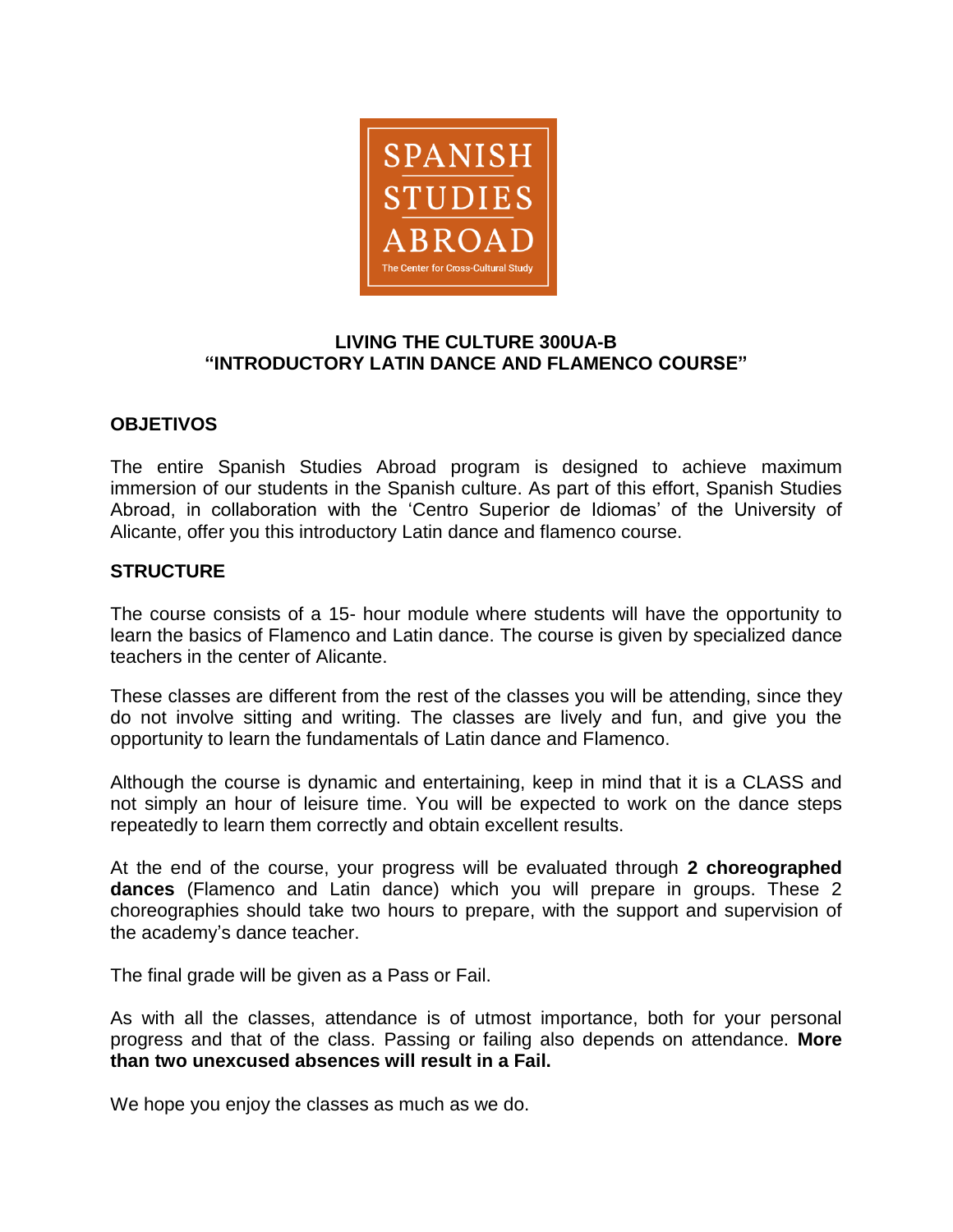

## **LIVING THE CULTURE 300UA-B "INTRODUCTORY LATIN DANCE AND FLAMENCO COURSE"**

## **OBJETIVOS**

The entire Spanish Studies Abroad program is designed to achieve maximum immersion of our students in the Spanish culture. As part of this effort, Spanish Studies Abroad, in collaboration with the 'Centro Superior de Idiomas' of the University of Alicante, offer you this introductory Latin dance and flamenco course.

## **STRUCTURE**

The course consists of a 15- hour module where students will have the opportunity to learn the basics of Flamenco and Latin dance. The course is given by specialized dance teachers in the center of Alicante.

These classes are different from the rest of the classes you will be attending, since they do not involve sitting and writing. The classes are lively and fun, and give you the opportunity to learn the fundamentals of Latin dance and Flamenco.

Although the course is dynamic and entertaining, keep in mind that it is a CLASS and not simply an hour of leisure time. You will be expected to work on the dance steps repeatedly to learn them correctly and obtain excellent results.

At the end of the course, your progress will be evaluated through **2 choreographed dances** (Flamenco and Latin dance) which you will prepare in groups. These 2 choreographies should take two hours to prepare, with the support and supervision of the academy's dance teacher.

The final grade will be given as a Pass or Fail.

As with all the classes, attendance is of utmost importance, both for your personal progress and that of the class. Passing or failing also depends on attendance. **More than two unexcused absences will result in a Fail.** 

We hope you enjoy the classes as much as we do.